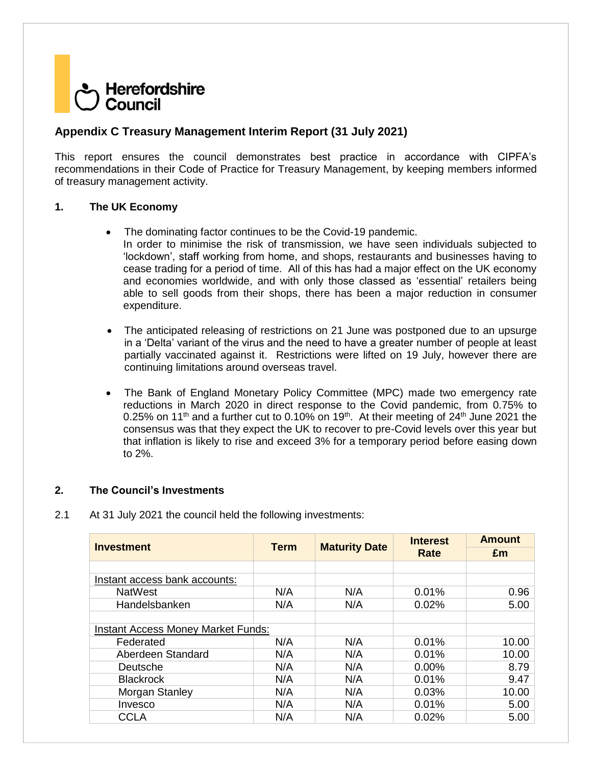# Herefordshire Council

# **Appendix C Treasury Management Interim Report (31 July 2021)**

This report ensures the council demonstrates best practice in accordance with CIPFA's recommendations in their Code of Practice for Treasury Management, by keeping members informed of treasury management activity.

### **1. The UK Economy**

- The dominating factor continues to be the Covid-19 pandemic. In order to minimise the risk of transmission, we have seen individuals subjected to 'lockdown', staff working from home, and shops, restaurants and businesses having to cease trading for a period of time. All of this has had a major effect on the UK economy and economies worldwide, and with only those classed as 'essential' retailers being able to sell goods from their shops, there has been a major reduction in consumer expenditure.
- The anticipated releasing of restrictions on 21 June was postponed due to an upsurge in a 'Delta' variant of the virus and the need to have a greater number of people at least partially vaccinated against it. Restrictions were lifted on 19 July, however there are continuing limitations around overseas travel.
- The Bank of England Monetary Policy Committee (MPC) made two emergency rate reductions in March 2020 in direct response to the Covid pandemic, from 0.75% to 0.25% on 11<sup>th</sup> and a further cut to 0.10% on 19<sup>th</sup>. At their meeting of 24<sup>th</sup> June 2021 the consensus was that they expect the UK to recover to pre-Covid levels over this year but that inflation is likely to rise and exceed 3% for a temporary period before easing down to 2%.

### **2. The Council's Investments**

2.1 At 31 July 2021 the council held the following investments:

| <b>Investment</b>                         | <b>Term</b> |                      | <b>Interest</b> | <b>Amount</b> |  |
|-------------------------------------------|-------------|----------------------|-----------------|---------------|--|
|                                           |             | <b>Maturity Date</b> | Rate            | £m            |  |
|                                           |             |                      |                 |               |  |
| Instant access bank accounts:             |             |                      |                 |               |  |
| <b>NatWest</b>                            | N/A         | N/A                  | 0.01%           | 0.96          |  |
| Handelsbanken                             | N/A         | N/A                  | 0.02%           | 5.00          |  |
|                                           |             |                      |                 |               |  |
| <b>Instant Access Money Market Funds:</b> |             |                      |                 |               |  |
| Federated                                 | N/A         | N/A                  | 0.01%           | 10.00         |  |
| Aberdeen Standard                         | N/A         | N/A                  | 0.01%           | 10.00         |  |
| Deutsche                                  | N/A         | N/A                  | $0.00\%$        | 8.79          |  |
| <b>Blackrock</b>                          | N/A         | N/A                  | 0.01%           | 9.47          |  |
| Morgan Stanley                            | N/A         | N/A                  | 0.03%           | 10.00         |  |
| Invesco                                   | N/A         | N/A                  | 0.01%           | 5.00          |  |
| <b>CCLA</b>                               | N/A         | N/A                  | 0.02%           | 5.00          |  |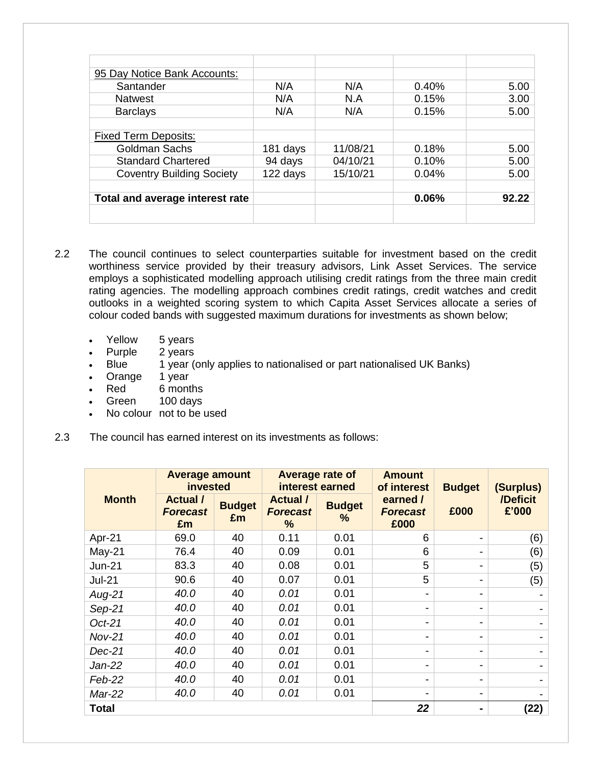| 95 Day Notice Bank Accounts:     |          |          |       |       |
|----------------------------------|----------|----------|-------|-------|
| Santander                        | N/A      | N/A      | 0.40% | 5.00  |
| <b>Natwest</b>                   | N/A      | N.A      | 0.15% | 3.00  |
| <b>Barclays</b>                  | N/A      | N/A      | 0.15% | 5.00  |
|                                  |          |          |       |       |
| <b>Fixed Term Deposits:</b>      |          |          |       |       |
| Goldman Sachs                    | 181 days | 11/08/21 | 0.18% | 5.00  |
| <b>Standard Chartered</b>        | 94 days  | 04/10/21 | 0.10% | 5.00  |
| <b>Coventry Building Society</b> | 122 days | 15/10/21 | 0.04% | 5.00  |
|                                  |          |          |       |       |
| Total and average interest rate  |          |          | 0.06% | 92.22 |
|                                  |          |          |       |       |
|                                  |          |          |       |       |

- 2.2 The council continues to select counterparties suitable for investment based on the credit worthiness service provided by their treasury advisors, Link Asset Services. The service employs a sophisticated modelling approach utilising credit ratings from the three main credit rating agencies. The modelling approach combines credit ratings, credit watches and credit outlooks in a weighted scoring system to which Capita Asset Services allocate a series of colour coded bands with suggested maximum durations for investments as shown below;
	-
	- Yellow 5 years<br>Purple 2 years  $\cdot$  Purple
	- Blue 1 year (only applies to nationalised or part nationalised UK Banks)
	- Orange 1 year
	- Red 6 months
	- Green 100 days
	- No colour not to be used
- 2.3 The council has earned interest on its investments as follows:

|               | <b>Average amount</b><br>invested      |                     | Average rate of<br>interest earned      |                       | <b>Amount</b><br>of interest        | <b>Budget</b> | (Surplus)         |
|---------------|----------------------------------------|---------------------|-----------------------------------------|-----------------------|-------------------------------------|---------------|-------------------|
| <b>Month</b>  | <b>Actual</b><br><b>Forecast</b><br>£m | <b>Budget</b><br>£m | <b>Actual</b> /<br><b>Forecast</b><br>% | <b>Budget</b><br>$\%$ | earned /<br><b>Forecast</b><br>£000 | £000          | /Deficit<br>£'000 |
| Apr-21        | 69.0                                   | 40                  | 0.11                                    | 0.01                  | 6                                   |               | (6)               |
| $May-21$      | 76.4                                   | 40                  | 0.09                                    | 0.01                  | 6                                   |               | (6)               |
| $Jun-21$      | 83.3                                   | 40                  | 0.08                                    | 0.01                  | 5                                   |               | (5)               |
| <b>Jul-21</b> | 90.6                                   | 40                  | 0.07                                    | 0.01                  | 5                                   |               | (5)               |
| Aug-21        | 40.0                                   | 40                  | 0.01                                    | 0.01                  | -                                   |               |                   |
| $Sep-21$      | 40.0                                   | 40                  | 0.01                                    | 0.01                  | -                                   | -             |                   |
| $Oct-21$      | 40.0                                   | 40                  | 0.01                                    | 0.01                  | -                                   |               |                   |
| $Nov-21$      | 40.0                                   | 40                  | 0.01                                    | 0.01                  | -                                   |               |                   |
| Dec-21        | 40.0                                   | 40                  | 0.01                                    | 0.01                  | -                                   | -             |                   |
| Jan-22        | 40.0                                   | 40                  | 0.01                                    | 0.01                  |                                     |               | -                 |
| Feb-22        | 40.0                                   | 40                  | 0.01                                    | 0.01                  |                                     |               |                   |
| Mar-22        | 40.0                                   | 40                  | 0.01                                    | 0.01                  | -                                   | -             |                   |
| <b>Total</b>  |                                        |                     |                                         |                       | 22                                  | ۰             | (22)              |